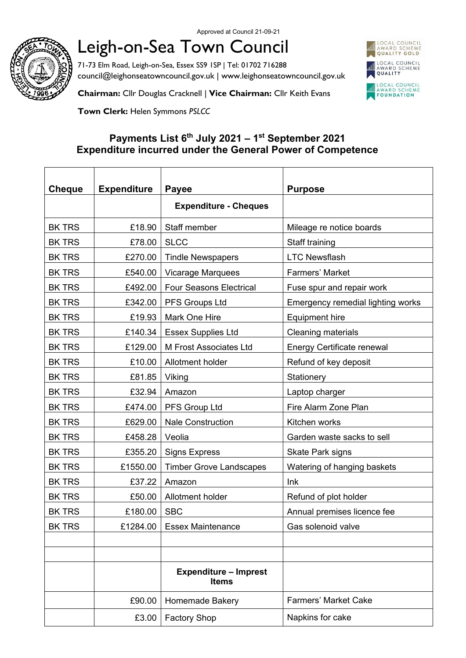

## Leigh-on-Sea Town Council

71-73 Elm Road, Leigh-on-Sea, Essex SS9 1SP | Tel: 01702 716288 council@leighonseatowncouncil.gov.uk | www.leighonseatowncouncil.gov.uk



**Chairman:** Cllr Douglas Cracknell | **Vice Chairman:** Cllr Keith Evans

**Town Clerk:** Helen Symmons *PSLCC*

## **Payments List 6 th July 2021 – 1 st September 2021 Expenditure incurred under the General Power of Competence**

| <b>Cheque</b> | <b>Expenditure</b> | <b>Payee</b>                                 | <b>Purpose</b>                    |
|---------------|--------------------|----------------------------------------------|-----------------------------------|
|               |                    | <b>Expenditure - Cheques</b>                 |                                   |
| <b>BK TRS</b> | £18.90             | Staff member                                 | Mileage re notice boards          |
| <b>BK TRS</b> | £78.00             | <b>SLCC</b>                                  | Staff training                    |
| <b>BK TRS</b> | £270.00            | <b>Tindle Newspapers</b>                     | <b>LTC Newsflash</b>              |
| <b>BK TRS</b> | £540.00            | <b>Vicarage Marquees</b>                     | Farmers' Market                   |
| <b>BK TRS</b> | £492.00            | <b>Four Seasons Electrical</b>               | Fuse spur and repair work         |
| <b>BK TRS</b> | £342.00            | PFS Groups Ltd                               | Emergency remedial lighting works |
| <b>BK TRS</b> | £19.93             | Mark One Hire                                | <b>Equipment hire</b>             |
| <b>BK TRS</b> | £140.34            | <b>Essex Supplies Ltd</b>                    | Cleaning materials                |
| <b>BK TRS</b> | £129.00            | M Frost Associates Ltd                       | <b>Energy Certificate renewal</b> |
| <b>BK TRS</b> | £10.00             | Allotment holder                             | Refund of key deposit             |
| <b>BK TRS</b> | £81.85             | Viking                                       | Stationery                        |
| <b>BK TRS</b> | £32.94             | Amazon                                       | Laptop charger                    |
| <b>BK TRS</b> | £474.00            | PFS Group Ltd                                | Fire Alarm Zone Plan              |
| <b>BK TRS</b> | £629.00            | <b>Nale Construction</b>                     | Kitchen works                     |
| <b>BK TRS</b> | £458.28            | Veolia                                       | Garden waste sacks to sell        |
| <b>BK TRS</b> | £355.20            | <b>Signs Express</b>                         | Skate Park signs                  |
| <b>BK TRS</b> | £1550.00           | <b>Timber Grove Landscapes</b>               | Watering of hanging baskets       |
| <b>BK TRS</b> | £37.22             | Amazon                                       | Ink                               |
| <b>BK TRS</b> | £50.00             | Allotment holder                             | Refund of plot holder             |
| <b>BK TRS</b> | £180.00            | <b>SBC</b>                                   | Annual premises licence fee       |
| <b>BK TRS</b> | £1284.00           | <b>Essex Maintenance</b>                     | Gas solenoid valve                |
|               |                    |                                              |                                   |
|               |                    |                                              |                                   |
|               |                    | <b>Expenditure - Imprest</b><br><b>Items</b> |                                   |
|               | £90.00             | Homemade Bakery                              | <b>Farmers' Market Cake</b>       |
|               | £3.00              | <b>Factory Shop</b>                          | Napkins for cake                  |